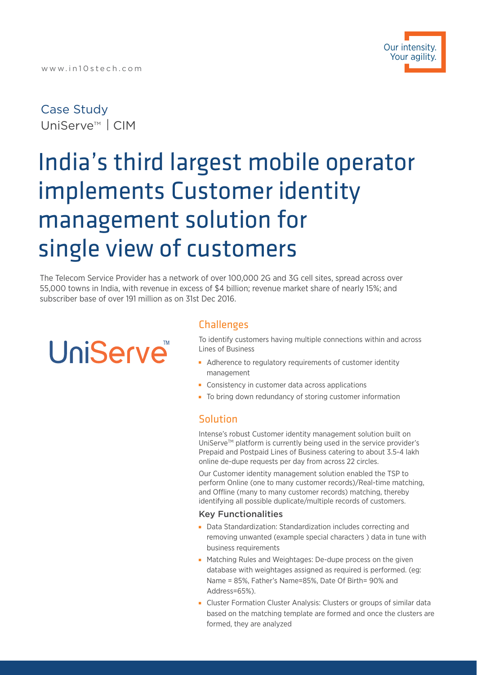### Case Study UniServe<sup>™</sup> | CIM

## India's third largest mobile operator implements Customer identity management solution for single view of customers

The Telecom Service Provider has a network of over 100,000 2G and 3G cell sites, spread across over 55,000 towns in India, with revenue in excess of \$4 billion; revenue market share of nearly 15%; and subscriber base of over 191 million as on 31st Dec 2016.

# **UniServe**™

#### **Challenges**

To identify customers having multiple connections within and across Lines of Business

- Adherence to regulatory requirements of customer identity management
- **Consistency in customer data across applications**
- To bring down redundancy of storing customer information

#### Solution

Intense's robust Customer identity management solution built on UniServe™ platform is currently being used in the service provider's Prepaid and Postpaid Lines of Business catering to about 3.5-4 lakh online de-dupe requests per day from across 22 circles.

Our Customer identity management solution enabled the TSP to perform Online (one to many customer records)/Real-time matching, and Offline (many to many customer records) matching, thereby identifying all possible duplicate/multiple records of customers.

#### Key Functionalities

- Data Standardization: Standardization includes correcting and removing unwanted (example special characters ) data in tune with business requirements
- **Matching Rules and Weightages: De-dupe process on the given** database with weightages assigned as required is performed. (eg: Name = 85%, Father's Name=85%, Date Of Birth= 90% and Address=65%).
- Cluster Formation Cluster Analysis: Clusters or groups of similar data based on the matching template are formed and once the clusters are formed, they are analyzed